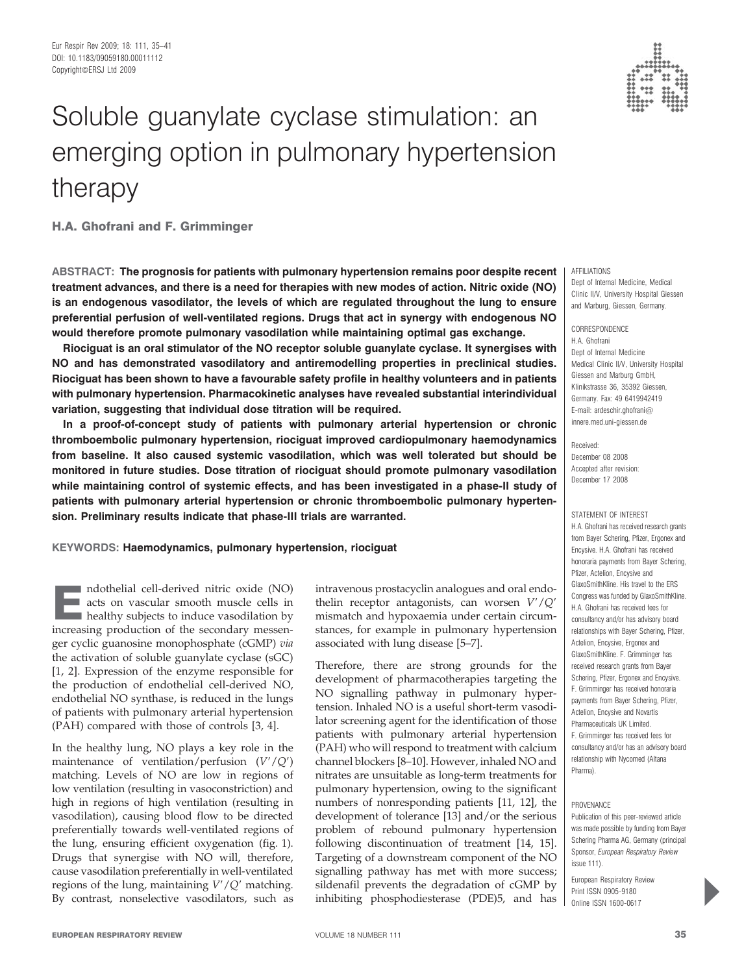

# Soluble guanylate cyclase stimulation: an emerging option in pulmonary hypertension therapy

H.A. Ghofrani and F. Grimminger

ABSTRACT: The prognosis for patients with pulmonary hypertension remains poor despite recent treatment advances, and there is a need for therapies with new modes of action. Nitric oxide (NO) is an endogenous vasodilator, the levels of which are regulated throughout the lung to ensure preferential perfusion of well-ventilated regions. Drugs that act in synergy with endogenous NO would therefore promote pulmonary vasodilation while maintaining optimal gas exchange.

Riociguat is an oral stimulator of the NO receptor soluble guanylate cyclase. It synergises with NO and has demonstrated vasodilatory and antiremodelling properties in preclinical studies. Riociguat has been shown to have a favourable safety profile in healthy volunteers and in patients with pulmonary hypertension. Pharmacokinetic analyses have revealed substantial interindividual variation, suggesting that individual dose titration will be required.

In a proof-of-concept study of patients with pulmonary arterial hypertension or chronic thromboembolic pulmonary hypertension, riociguat improved cardiopulmonary haemodynamics from baseline. It also caused systemic vasodilation, which was well tolerated but should be monitored in future studies. Dose titration of riociguat should promote pulmonary vasodilation while maintaining control of systemic effects, and has been investigated in a phase-II study of patients with pulmonary arterial hypertension or chronic thromboembolic pulmonary hypertension. Preliminary results indicate that phase-III trials are warranted.

KEYWORDS: Haemodynamics, pulmonary hypertension, riociguat

mdothelial cell-derived nitric oxide (NO)<br>acts on vascular smooth muscle cells in<br>healthy subjects to induce vasodilation by<br>increasing production of the secondary messen acts on vascular smooth muscle cells in increasing production of the secondary messenger cyclic guanosine monophosphate (cGMP) via the activation of soluble guanylate cyclase (sGC) [1, 2]. Expression of the enzyme responsible for the production of endothelial cell-derived NO, endothelial NO synthase, is reduced in the lungs of patients with pulmonary arterial hypertension (PAH) compared with those of controls [3, 4].

In the healthy lung, NO plays a key role in the maintenance of ventilation/perfusion  $(V'/Q')$ matching. Levels of NO are low in regions of low ventilation (resulting in vasoconstriction) and high in regions of high ventilation (resulting in vasodilation), causing blood flow to be directed preferentially towards well-ventilated regions of the lung, ensuring efficient oxygenation (fig. 1). Drugs that synergise with NO will, therefore, cause vasodilation preferentially in well-ventilated regions of the lung, maintaining  $V'/Q'$  matching. By contrast, nonselective vasodilators, such as intravenous prostacyclin analogues and oral endothelin receptor antagonists, can worsen  $V'/O'$ mismatch and hypoxaemia under certain circumstances, for example in pulmonary hypertension associated with lung disease [5–7].

Therefore, there are strong grounds for the development of pharmacotherapies targeting the NO signalling pathway in pulmonary hypertension. Inhaled NO is a useful short-term vasodilator screening agent for the identification of those patients with pulmonary arterial hypertension (PAH) who will respond to treatment with calcium channel blockers [8–10]. However, inhaled NO and nitrates are unsuitable as long-term treatments for pulmonary hypertension, owing to the significant numbers of nonresponding patients [11, 12], the development of tolerance [13] and/or the serious problem of rebound pulmonary hypertension following discontinuation of treatment [14, 15]. Targeting of a downstream component of the NO signalling pathway has met with more success; sildenafil prevents the degradation of cGMP by inhibiting phosphodiesterase (PDE)5, and has

#### AFFILIATIONS

Dept of Internal Medicine, Medical Clinic II/V, University Hospital Giessen and Marburg, Giessen, Germany.

#### **CORRESPONDENCE** H.A. Ghofrani Dept of Internal Medicine Medical Clinic II/V, University Hospital Giessen and Marburg GmbH, Klinikstrasse 36, 35392 Giessen, Germany. Fax: 49 6419942419 E-mail: ardeschir.ghofrani@ innere.med.uni-giessen.de

Received: December 08 2008 Accepted after revision: December 17 2008

STATEMENT OF INTEREST H.A. Ghofrani has received research grants from Bayer Schering, Pfizer, Ergonex and Encysive. H.A. Ghofrani has received honoraria payments from Bayer Schering, Pfizer, Actelion, Encysive and GlaxoSmithKline. His travel to the ERS Congress was funded by GlaxoSmithKline. H.A. Ghofrani has received fees for consultancy and/or has advisory board relationships with Bayer Schering, Pfizer, Actelion, Encysive, Ergonex and GlaxoSmithKline. F. Grimminger has received research grants from Bayer Schering, Pfizer, Ergonex and Encysive. F. Grimminger has received honoraria payments from Bayer Schering, Pfizer, Actelion, Encysive and Novartis Pharmaceuticals UK Limited. F. Grimminger has received fees for consultancy and/or has an advisory board relationship with Nycomed (Altana Pharma).

#### **PROVENANCE**

Publication of this peer-reviewed article was made possible by funding from Bayer Schering Pharma AG, Germany (principal Sponsor, European Respiratory Review issue 111).

European Respiratory Review Print ISSN 0905-9180 Online ISSN 1600-0617

P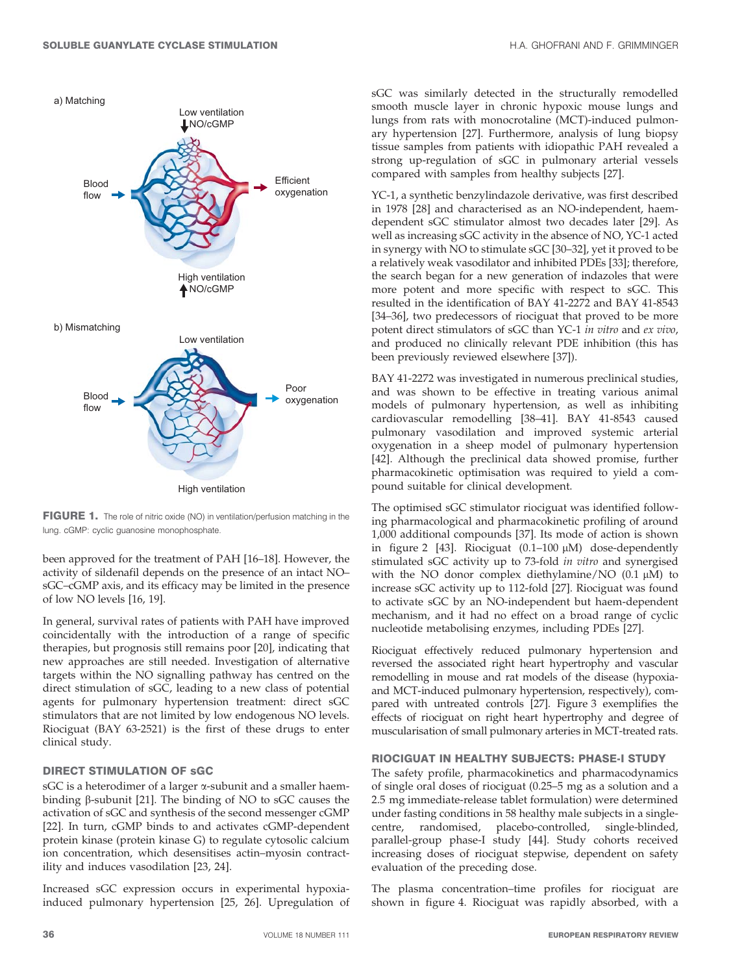

FIGURE 1. The role of nitric oxide (NO) in ventilation/perfusion matching in the lung. cGMP: cyclic guanosine monophosphate.

been approved for the treatment of PAH [16–18]. However, the activity of sildenafil depends on the presence of an intact NO– sGC–cGMP axis, and its efficacy may be limited in the presence of low NO levels [16, 19].

In general, survival rates of patients with PAH have improved coincidentally with the introduction of a range of specific therapies, but prognosis still remains poor [20], indicating that new approaches are still needed. Investigation of alternative targets within the NO signalling pathway has centred on the direct stimulation of sGC, leading to a new class of potential agents for pulmonary hypertension treatment: direct sGC stimulators that are not limited by low endogenous NO levels. Riociguat (BAY 63-2521) is the first of these drugs to enter clinical study.

#### DIRECT STIMULATION OF sGC

sGC is a heterodimer of a larger  $\alpha$ -subunit and a smaller haembinding  $\beta$ -subunit [21]. The binding of NO to sGC causes the activation of sGC and synthesis of the second messenger cGMP [22]. In turn, cGMP binds to and activates cGMP-dependent protein kinase (protein kinase G) to regulate cytosolic calcium ion concentration, which desensitises actin–myosin contractility and induces vasodilation [23, 24].

Increased sGC expression occurs in experimental hypoxiainduced pulmonary hypertension [25, 26]. Upregulation of sGC was similarly detected in the structurally remodelled smooth muscle layer in chronic hypoxic mouse lungs and lungs from rats with monocrotaline (MCT)-induced pulmonary hypertension [27]. Furthermore, analysis of lung biopsy tissue samples from patients with idiopathic PAH revealed a strong up-regulation of sGC in pulmonary arterial vessels compared with samples from healthy subjects [27].

YC-1, a synthetic benzylindazole derivative, was first described in 1978 [28] and characterised as an NO-independent, haemdependent sGC stimulator almost two decades later [29]. As well as increasing sGC activity in the absence of NO, YC-1 acted in synergy with NO to stimulate sGC [30–32], yet it proved to be a relatively weak vasodilator and inhibited PDEs [33]; therefore, the search began for a new generation of indazoles that were more potent and more specific with respect to sGC. This resulted in the identification of BAY 41-2272 and BAY 41-8543 [34–36], two predecessors of riociguat that proved to be more potent direct stimulators of sGC than YC-1 in vitro and ex vivo, and produced no clinically relevant PDE inhibition (this has been previously reviewed elsewhere [37]).

BAY 41-2272 was investigated in numerous preclinical studies, and was shown to be effective in treating various animal models of pulmonary hypertension, as well as inhibiting cardiovascular remodelling [38–41]. BAY 41-8543 caused pulmonary vasodilation and improved systemic arterial oxygenation in a sheep model of pulmonary hypertension [42]. Although the preclinical data showed promise, further pharmacokinetic optimisation was required to yield a compound suitable for clinical development.

The optimised sGC stimulator riociguat was identified following pharmacological and pharmacokinetic profiling of around 1,000 additional compounds [37]. Its mode of action is shown in figure 2 [43]. Riociguat  $(0.1-100 \mu M)$  dose-dependently stimulated sGC activity up to 73-fold in vitro and synergised with the NO donor complex diethylamine/NO  $(0.1 \mu M)$  to increase sGC activity up to 112-fold [27]. Riociguat was found to activate sGC by an NO-independent but haem-dependent mechanism, and it had no effect on a broad range of cyclic nucleotide metabolising enzymes, including PDEs [27].

Riociguat effectively reduced pulmonary hypertension and reversed the associated right heart hypertrophy and vascular remodelling in mouse and rat models of the disease (hypoxiaand MCT-induced pulmonary hypertension, respectively), compared with untreated controls [27]. Figure 3 exemplifies the effects of riociguat on right heart hypertrophy and degree of muscularisation of small pulmonary arteries in MCT-treated rats.

#### RIOCIGUAT IN HEALTHY SUBJECTS: PHASE-I STUDY

The safety profile, pharmacokinetics and pharmacodynamics of single oral doses of riociguat (0.25–5 mg as a solution and a 2.5 mg immediate-release tablet formulation) were determined under fasting conditions in 58 healthy male subjects in a singlecentre, randomised, placebo-controlled, single-blinded, parallel-group phase-I study [44]. Study cohorts received increasing doses of riociguat stepwise, dependent on safety evaluation of the preceding dose.

The plasma concentration–time profiles for riociguat are shown in figure 4. Riociguat was rapidly absorbed, with a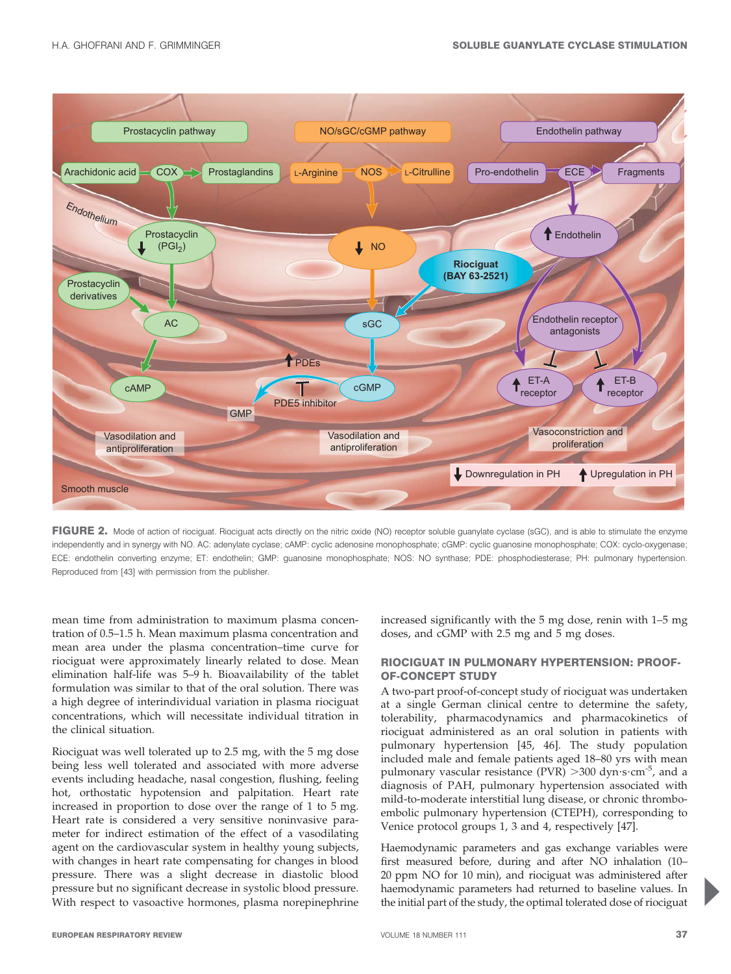

FIGURE 2. Mode of action of riociguat. Riociguat acts directly on the nitric oxide (NO) receptor soluble guanylate cyclase (sGC), and is able to stimulate the enzyme independently and in synergy with NO. AC: adenylate cyclase; cAMP: cyclic adenosine monophosphate; cGMP: cyclic guanosine monophosphate; COX: cyclo-oxygenase; ECE: endothelin converting enzyme; ET: endothelin; GMP: guanosine monophosphate; NOS: NO synthase; PDE: phosphodiesterase; PH: pulmonary hypertension. Reproduced from [43] with permission from the publisher.

mean time from administration to maximum plasma concentration of 0.5–1.5 h. Mean maximum plasma concentration and mean area under the plasma concentration–time curve for riociguat were approximately linearly related to dose. Mean elimination half-life was 5–9 h. Bioavailability of the tablet formulation was similar to that of the oral solution. There was a high degree of interindividual variation in plasma riociguat concentrations, which will necessitate individual titration in the clinical situation.

Riociguat was well tolerated up to 2.5 mg, with the 5 mg dose being less well tolerated and associated with more adverse events including headache, nasal congestion, flushing, feeling hot, orthostatic hypotension and palpitation. Heart rate increased in proportion to dose over the range of 1 to 5 mg. Heart rate is considered a very sensitive noninvasive parameter for indirect estimation of the effect of a vasodilating agent on the cardiovascular system in healthy young subjects, with changes in heart rate compensating for changes in blood pressure. There was a slight decrease in diastolic blood pressure but no significant decrease in systolic blood pressure. With respect to vasoactive hormones, plasma norepinephrine

increased significantly with the 5 mg dose, renin with 1–5 mg doses, and cGMP with 2.5 mg and 5 mg doses.

## RIOCIGUAT IN PULMONARY HYPERTENSION: PROOF-OF-CONCEPT STUDY

A two-part proof-of-concept study of riociguat was undertaken at a single German clinical centre to determine the safety, tolerability, pharmacodynamics and pharmacokinetics of riociguat administered as an oral solution in patients with pulmonary hypertension [45, 46]. The study population included male and female patients aged 18–80 yrs with mean pulmonary vascular resistance (PVR)  $>300$  dyn $\cdot$ s $\cdot$ cm<sup>-5</sup>, and a diagnosis of PAH, pulmonary hypertension associated with mild-to-moderate interstitial lung disease, or chronic thromboembolic pulmonary hypertension (CTEPH), corresponding to Venice protocol groups 1, 3 and 4, respectively [47].

Haemodynamic parameters and gas exchange variables were first measured before, during and after NO inhalation (10– 20 ppm NO for 10 min), and riociguat was administered after haemodynamic parameters had returned to baseline values. In the initial part of the study, the optimal tolerated dose of riociguat

P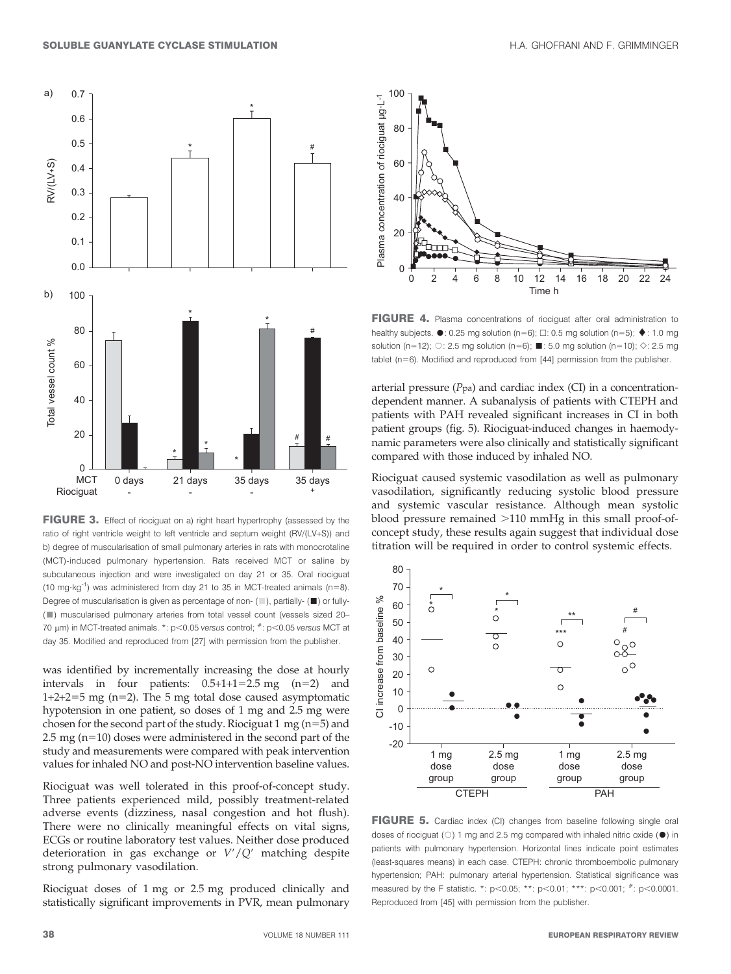

FIGURE 3. Effect of riociguat on a) right heart hypertrophy (assessed by the ratio of right ventricle weight to left ventricle and septum weight (RV/(LV+S)) and b) degree of muscularisation of small pulmonary arteries in rats with monocrotaline (MCT)-induced pulmonary hypertension. Rats received MCT or saline by subcutaneous injection and were investigated on day 21 or 35. Oral riociguat (10 mg·kg<sup>-1</sup>) was administered from day 21 to 35 in MCT-treated animals (n=8). Degree of muscularisation is given as percentage of non- $(\square)$ , partially- ( $\blacksquare$ ) or fully-(&) muscularised pulmonary arteries from total vessel count (vessels sized 20– 70  $\mu$ m) in MCT-treated animals. \*: p<0.05 versus control;  $*$ : p<0.05 versus MCT at day 35. Modified and reproduced from [27] with permission from the publisher.

was identified by incrementally increasing the dose at hourly intervals in four patients:  $0.5+1+1=2.5$  mg (n=2) and  $1+2+2=5$  mg (n=2). The 5 mg total dose caused asymptomatic hypotension in one patient, so doses of 1 mg and 2.5 mg were chosen for the second part of the study. Riociguat 1 mg  $(n=5)$  and 2.5 mg  $(n=10)$  doses were administered in the second part of the study and measurements were compared with peak intervention values for inhaled NO and post-NO intervention baseline values.

Riociguat was well tolerated in this proof-of-concept study. Three patients experienced mild, possibly treatment-related adverse events (dizziness, nasal congestion and hot flush). There were no clinically meaningful effects on vital signs, ECGs or routine laboratory test values. Neither dose produced deterioration in gas exchange or  $V'/Q'$  matching despite strong pulmonary vasodilation.

Riociguat doses of 1 mg or 2.5 mg produced clinically and statistically significant improvements in PVR, mean pulmonary

100 Plasma concentration of riociguat ug.L-1 Plasma concentration of riociguat µg·L-1 ■■ ■ ■■■ 80 ■ ● 60 ■ ● ●  $\circ_{\varsigma}$ ◆◆◆◆ ● 40 ■ ● ◆ ◆ ● ◆ ◆◆◆◆◆◆ ◆ ■ ◆ 20 ● ◆ ◆ ■ ど ー<br>一つのサイズ<br>コード **Burney World Brown and Brown and Brown and Brown and Brown and Brown and Brown and Brown and Brown and Brown and** ◆ セ ■ ◆  $\frac{1}{2}$ ◆ ■ ●●●●●●● ● ● ● ● ● ● ●  $\overline{\phantom{a}}$ ●  $\theta$   $\rightarrow$   $\theta$   $\rightarrow$   $\theta$   $\rightarrow$   $\theta$   $\rightarrow$   $\theta$   $\rightarrow$   $\theta$   $\rightarrow$   $\theta$   $\rightarrow$   $\theta$   $\rightarrow$   $\theta$   $\rightarrow$   $\theta$   $\rightarrow$   $\theta$   $\rightarrow$   $\theta$   $\rightarrow$   $\theta$   $\rightarrow$   $\theta$   $\rightarrow$   $\theta$   $\rightarrow$   $\theta$   $\rightarrow$   $\theta$   $\rightarrow$   $\theta$   $\rightarrow$   $\theta$   $\rightarrow$   $\theta$   $\rightarrow$   $\theta$   $\rightarrow$   $\theta$   $\rightarrow$  ●  $\Omega$ ■ 0 2468 10 12 14 16 18 20 22 24 Time h

FIGURE 4. Plasma concentrations of riociquat after oral administration to healthy subjects.  $\bullet$ : 0.25 mg solution (n=6);  $\Box$ : 0.5 mg solution (n=5);  $\bullet$ : 1.0 mg solution (n=12);  $\circ$ : 2.5 mg solution (n=6);  $\blacksquare$ : 5.0 mg solution (n=10);  $\diamond$ : 2.5 mg tablet ( $n=6$ ). Modified and reproduced from [44] permission from the publisher.

arterial pressure  $(P_{pa})$  and cardiac index  $(CI)$  in a concentrationdependent manner. A subanalysis of patients with CTEPH and patients with PAH revealed significant increases in CI in both patient groups (fig. 5). Riociguat-induced changes in haemodynamic parameters were also clinically and statistically significant compared with those induced by inhaled NO.

Riociguat caused systemic vasodilation as well as pulmonary vasodilation, significantly reducing systolic blood pressure and systemic vascular resistance. Although mean systolic blood pressure remained  $>110$  mmHg in this small proof-ofconcept study, these results again suggest that individual dose titration will be required in order to control systemic effects.



FIGURE 5. Cardiac index (CI) changes from baseline following single oral doses of riociguat ( $\circ$ ) 1 mg and 2.5 mg compared with inhaled nitric oxide ( $\bullet$ ) in patients with pulmonary hypertension. Horizontal lines indicate point estimates (least-squares means) in each case. CTEPH: chronic thromboembolic pulmonary hypertension; PAH: pulmonary arterial hypertension. Statistical significance was measured by the F statistic. \*: p<0.05; \*\*: p<0.01; \*\*\*: p<0.001;  $*$ : p <0.0001. Reproduced from [45] with permission from the publisher.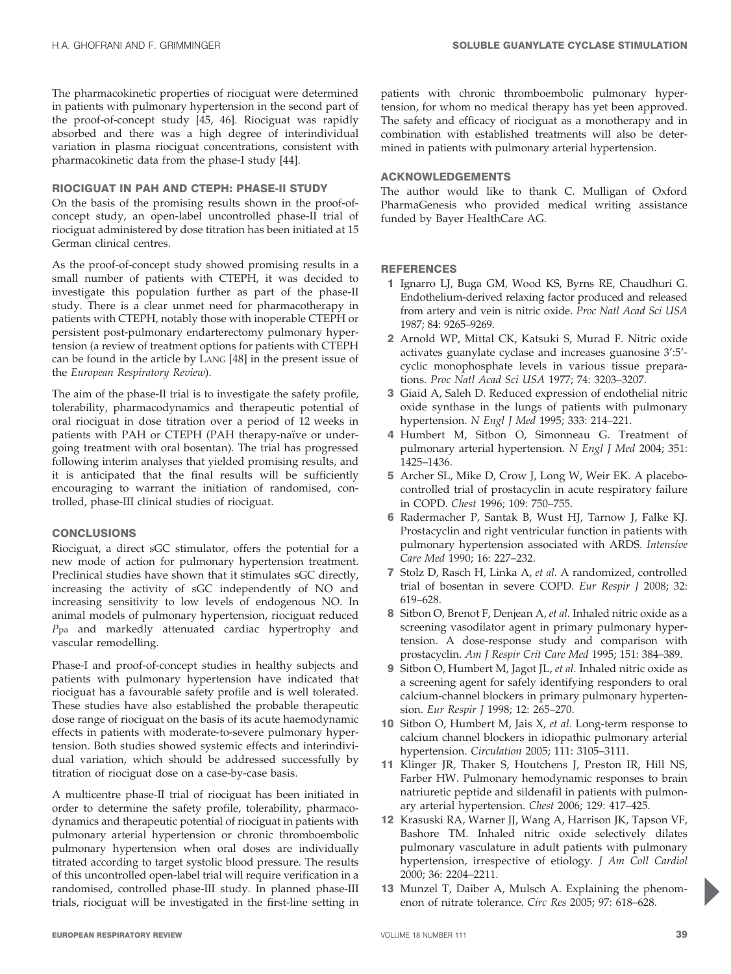The pharmacokinetic properties of riociguat were determined in patients with pulmonary hypertension in the second part of the proof-of-concept study [45, 46]. Riociguat was rapidly absorbed and there was a high degree of interindividual variation in plasma riociguat concentrations, consistent with pharmacokinetic data from the phase-I study [44].

## RIOCIGUAT IN PAH AND CTEPH: PHASE-II STUDY

On the basis of the promising results shown in the proof-ofconcept study, an open-label uncontrolled phase-II trial of riociguat administered by dose titration has been initiated at 15 German clinical centres.

As the proof-of-concept study showed promising results in a small number of patients with CTEPH, it was decided to investigate this population further as part of the phase-II study. There is a clear unmet need for pharmacotherapy in patients with CTEPH, notably those with inoperable CTEPH or persistent post-pulmonary endarterectomy pulmonary hypertension (a review of treatment options for patients with CTEPH can be found in the article by LANG [48] in the present issue of the European Respiratory Review).

The aim of the phase-II trial is to investigate the safety profile, tolerability, pharmacodynamics and therapeutic potential of oral riociguat in dose titration over a period of 12 weeks in patients with PAH or CTEPH (PAH therapy-naïve or undergoing treatment with oral bosentan). The trial has progressed following interim analyses that yielded promising results, and it is anticipated that the final results will be sufficiently encouraging to warrant the initiation of randomised, controlled, phase-III clinical studies of riociguat.

# **CONCLUSIONS**

Riociguat, a direct sGC stimulator, offers the potential for a new mode of action for pulmonary hypertension treatment. Preclinical studies have shown that it stimulates sGC directly, increasing the activity of sGC independently of NO and increasing sensitivity to low levels of endogenous NO. In animal models of pulmonary hypertension, riociguat reduced Ppa and markedly attenuated cardiac hypertrophy and vascular remodelling.

Phase-I and proof-of-concept studies in healthy subjects and patients with pulmonary hypertension have indicated that riociguat has a favourable safety profile and is well tolerated. These studies have also established the probable therapeutic dose range of riociguat on the basis of its acute haemodynamic effects in patients with moderate-to-severe pulmonary hypertension. Both studies showed systemic effects and interindividual variation, which should be addressed successfully by titration of riociguat dose on a case-by-case basis.

A multicentre phase-II trial of riociguat has been initiated in order to determine the safety profile, tolerability, pharmacodynamics and therapeutic potential of riociguat in patients with pulmonary arterial hypertension or chronic thromboembolic pulmonary hypertension when oral doses are individually titrated according to target systolic blood pressure. The results of this uncontrolled open-label trial will require verification in a randomised, controlled phase-III study. In planned phase-III trials, riociguat will be investigated in the first-line setting in

patients with chronic thromboembolic pulmonary hypertension, for whom no medical therapy has yet been approved. The safety and efficacy of riociguat as a monotherapy and in combination with established treatments will also be determined in patients with pulmonary arterial hypertension.

## ACKNOWLEDGEMENTS

The author would like to thank C. Mulligan of Oxford PharmaGenesis who provided medical writing assistance funded by Bayer HealthCare AG.

## **REFERENCES**

- 1 Ignarro LJ, Buga GM, Wood KS, Byrns RE, Chaudhuri G. Endothelium-derived relaxing factor produced and released from artery and vein is nitric oxide. Proc Natl Acad Sci USA 1987; 84: 9265–9269.
- 2 Arnold WP, Mittal CK, Katsuki S, Murad F. Nitric oxide activates guanylate cyclase and increases guanosine 3':5' cyclic monophosphate levels in various tissue preparations. Proc Natl Acad Sci USA 1977; 74: 3203–3207.
- 3 Giaid A, Saleh D. Reduced expression of endothelial nitric oxide synthase in the lungs of patients with pulmonary hypertension. N Engl J Med 1995; 333: 214–221.
- 4 Humbert M, Sitbon O, Simonneau G. Treatment of pulmonary arterial hypertension. N Engl J Med 2004; 351: 1425–1436.
- 5 Archer SL, Mike D, Crow J, Long W, Weir EK. A placebocontrolled trial of prostacyclin in acute respiratory failure in COPD. Chest 1996; 109: 750–755.
- 6 Radermacher P, Santak B, Wust HJ, Tarnow J, Falke KJ. Prostacyclin and right ventricular function in patients with pulmonary hypertension associated with ARDS. Intensive Care Med 1990; 16: 227–232.
- 7 Stolz D, Rasch H, Linka A, et al. A randomized, controlled trial of bosentan in severe COPD. Eur Respir J 2008; 32: 619–628.
- 8 Sitbon O, Brenot F, Denjean A, et al. Inhaled nitric oxide as a screening vasodilator agent in primary pulmonary hypertension. A dose-response study and comparison with prostacyclin. Am J Respir Crit Care Med 1995; 151: 384–389.
- 9 Sitbon O, Humbert M, Jagot JL, et al. Inhaled nitric oxide as a screening agent for safely identifying responders to oral calcium-channel blockers in primary pulmonary hypertension. Eur Respir J 1998; 12: 265-270.
- 10 Sitbon O, Humbert M, Jais X, et al. Long-term response to calcium channel blockers in idiopathic pulmonary arterial hypertension. Circulation 2005; 111: 3105–3111.
- 11 Klinger JR, Thaker S, Houtchens J, Preston IR, Hill NS, Farber HW. Pulmonary hemodynamic responses to brain natriuretic peptide and sildenafil in patients with pulmonary arterial hypertension. Chest 2006; 129: 417–425.
- 12 Krasuski RA, Warner JJ, Wang A, Harrison JK, Tapson VF, Bashore TM. Inhaled nitric oxide selectively dilates pulmonary vasculature in adult patients with pulmonary hypertension, irrespective of etiology. J Am Coll Cardiol 2000; 36: 2204–2211.
- 13 Munzel T, Daiber A, Mulsch A. Explaining the phenomenon of nitrate tolerance. Circ Res 2005; 97: 618–628.

P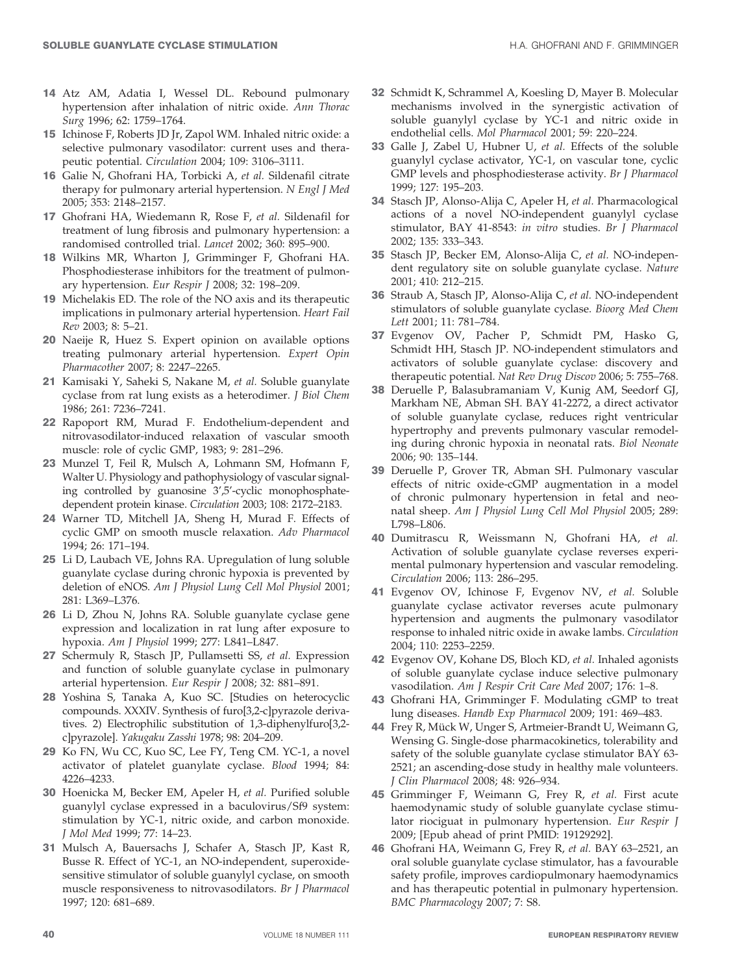- 14 Atz AM, Adatia I, Wessel DL. Rebound pulmonary hypertension after inhalation of nitric oxide. Ann Thorac Surg 1996; 62: 1759–1764.
- 15 Ichinose F, Roberts JD Jr, Zapol WM. Inhaled nitric oxide: a selective pulmonary vasodilator: current uses and therapeutic potential. Circulation 2004; 109: 3106–3111.
- 16 Galie N, Ghofrani HA, Torbicki A, et al. Sildenafil citrate therapy for pulmonary arterial hypertension. N Engl J Med 2005; 353: 2148–2157.
- 17 Ghofrani HA, Wiedemann R, Rose F, et al. Sildenafil for treatment of lung fibrosis and pulmonary hypertension: a randomised controlled trial. Lancet 2002; 360: 895–900.
- 18 Wilkins MR, Wharton J, Grimminger F, Ghofrani HA. Phosphodiesterase inhibitors for the treatment of pulmonary hypertension. Eur Respir J 2008; 32: 198–209.
- 19 Michelakis ED. The role of the NO axis and its therapeutic implications in pulmonary arterial hypertension. Heart Fail Rev 2003; 8: 5–21.
- 20 Naeije R, Huez S. Expert opinion on available options treating pulmonary arterial hypertension. Expert Opin Pharmacother 2007; 8: 2247–2265.
- 21 Kamisaki Y, Saheki S, Nakane M, et al. Soluble guanylate cyclase from rat lung exists as a heterodimer. J Biol Chem 1986; 261: 7236–7241.
- 22 Rapoport RM, Murad F. Endothelium-dependent and nitrovasodilator-induced relaxation of vascular smooth muscle: role of cyclic GMP, 1983; 9: 281–296.
- 23 Munzel T, Feil R, Mulsch A, Lohmann SM, Hofmann F, Walter U. Physiology and pathophysiology of vascular signaling controlled by guanosine 3',5'-cyclic monophosphatedependent protein kinase. Circulation 2003; 108: 2172–2183.
- 24 Warner TD, Mitchell JA, Sheng H, Murad F. Effects of cyclic GMP on smooth muscle relaxation. Adv Pharmacol 1994; 26: 171–194.
- 25 Li D, Laubach VE, Johns RA. Upregulation of lung soluble guanylate cyclase during chronic hypoxia is prevented by deletion of eNOS. Am J Physiol Lung Cell Mol Physiol 2001; 281: L369–L376.
- 26 Li D, Zhou N, Johns RA. Soluble guanylate cyclase gene expression and localization in rat lung after exposure to hypoxia. Am J Physiol 1999; 277: L841–L847.
- 27 Schermuly R, Stasch JP, Pullamsetti SS, et al. Expression and function of soluble guanylate cyclase in pulmonary arterial hypertension. Eur Respir J 2008; 32: 881–891.
- 28 Yoshina S, Tanaka A, Kuo SC. [Studies on heterocyclic compounds. XXXIV. Synthesis of furo[3,2-c]pyrazole derivatives. 2) Electrophilic substitution of 1,3-diphenylfuro[3,2 c]pyrazole]. Yakugaku Zasshi 1978; 98: 204–209.
- 29 Ko FN, Wu CC, Kuo SC, Lee FY, Teng CM. YC-1, a novel activator of platelet guanylate cyclase. Blood 1994; 84: 4226–4233.
- 30 Hoenicka M, Becker EM, Apeler H, et al. Purified soluble guanylyl cyclase expressed in a baculovirus/Sf9 system: stimulation by YC-1, nitric oxide, and carbon monoxide. J Mol Med 1999; 77: 14–23.
- 31 Mulsch A, Bauersachs J, Schafer A, Stasch JP, Kast R, Busse R. Effect of YC-1, an NO-independent, superoxidesensitive stimulator of soluble guanylyl cyclase, on smooth muscle responsiveness to nitrovasodilators. Br J Pharmacol 1997; 120: 681–689.
- 32 Schmidt K, Schrammel A, Koesling D, Mayer B. Molecular mechanisms involved in the synergistic activation of soluble guanylyl cyclase by YC-1 and nitric oxide in endothelial cells. Mol Pharmacol 2001; 59: 220–224.
- 33 Galle J, Zabel U, Hubner U, et al. Effects of the soluble guanylyl cyclase activator, YC-1, on vascular tone, cyclic GMP levels and phosphodiesterase activity. Br J Pharmacol 1999; 127: 195–203.
- 34 Stasch JP, Alonso-Alija C, Apeler H, et al. Pharmacological actions of a novel NO-independent guanylyl cyclase stimulator, BAY 41-8543: in vitro studies. Br J Pharmacol 2002; 135: 333–343.
- 35 Stasch JP, Becker EM, Alonso-Alija C, et al. NO-independent regulatory site on soluble guanylate cyclase. Nature 2001; 410: 212–215.
- 36 Straub A, Stasch JP, Alonso-Alija C, et al. NO-independent stimulators of soluble guanylate cyclase. Bioorg Med Chem Lett 2001; 11: 781–784.
- 37 Evgenov OV, Pacher P, Schmidt PM, Hasko G, Schmidt HH, Stasch JP. NO-independent stimulators and activators of soluble guanylate cyclase: discovery and therapeutic potential. Nat Rev Drug Discov 2006; 5: 755–768.
- 38 Deruelle P, Balasubramaniam V, Kunig AM, Seedorf GJ, Markham NE, Abman SH. BAY 41-2272, a direct activator of soluble guanylate cyclase, reduces right ventricular hypertrophy and prevents pulmonary vascular remodeling during chronic hypoxia in neonatal rats. Biol Neonate 2006; 90: 135–144.
- 39 Deruelle P, Grover TR, Abman SH. Pulmonary vascular effects of nitric oxide-cGMP augmentation in a model of chronic pulmonary hypertension in fetal and neonatal sheep. Am J Physiol Lung Cell Mol Physiol 2005; 289: L798–L806.
- 40 Dumitrascu R, Weissmann N, Ghofrani HA, et al. Activation of soluble guanylate cyclase reverses experimental pulmonary hypertension and vascular remodeling. Circulation 2006; 113: 286–295.
- 41 Evgenov OV, Ichinose F, Evgenov NV, et al. Soluble guanylate cyclase activator reverses acute pulmonary hypertension and augments the pulmonary vasodilator response to inhaled nitric oxide in awake lambs. Circulation 2004; 110: 2253–2259.
- 42 Evgenov OV, Kohane DS, Bloch KD, et al. Inhaled agonists of soluble guanylate cyclase induce selective pulmonary vasodilation. Am J Respir Crit Care Med 2007; 176: 1–8.
- 43 Ghofrani HA, Grimminger F. Modulating cGMP to treat lung diseases. Handb Exp Pharmacol 2009; 191: 469–483.
- 44 Frey R, Mück W, Unger S, Artmeier-Brandt U, Weimann G, Wensing G. Single-dose pharmacokinetics, tolerability and safety of the soluble guanylate cyclase stimulator BAY 63- 2521; an ascending-dose study in healthy male volunteers. J Clin Pharmacol 2008; 48: 926–934.
- 45 Grimminger F, Weimann G, Frey R, et al. First acute haemodynamic study of soluble guanylate cyclase stimulator riociguat in pulmonary hypertension. Eur Respir J 2009; [Epub ahead of print PMID: 19129292].
- 46 Ghofrani HA, Weimann G, Frey R, et al. BAY 63–2521, an oral soluble guanylate cyclase stimulator, has a favourable safety profile, improves cardiopulmonary haemodynamics and has therapeutic potential in pulmonary hypertension. BMC Pharmacology 2007; 7: S8.